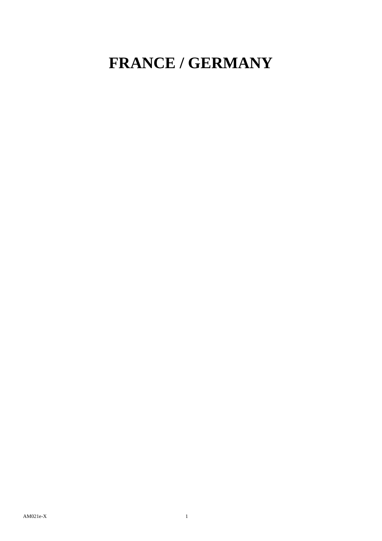## **FRANCE / GERMANY**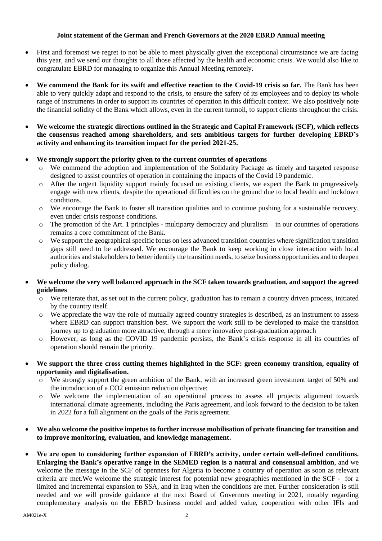## **Joint statement of the German and French Governors at the 2020 EBRD Annual meeting**

- First and foremost we regret to not be able to meet physically given the exceptional circumstance we are facing this year, and we send our thoughts to all those affected by the health and economic crisis. We would also like to congratulate EBRD for managing to organize this Annual Meeting remotely.
- **We commend the Bank for its swift and effective reaction to the Covid-19 crisis so far.** The Bank has been able to very quickly adapt and respond to the crisis, to ensure the safety of its employees and to deploy its whole range of instruments in order to support its countries of operation in this difficult context. We also positively note the financial solidity of the Bank which allows, even in the current turmoil, to support clients throughout the crisis.
- **We welcome the strategic directions outlined in the Strategic and Capital Framework (SCF), which reflects the consensus reached among shareholders, and sets ambitious targets for further developing EBRD's activity and enhancing its transition impact for the period 2021-25.**
- **We strongly support the priority given to the current countries of operations**
	- o We commend the adoption and implementation of the Solidarity Package as timely and targeted response designed to assist countries of operation in containing the impacts of the Covid 19 pandemic.
	- o After the urgent liquidity support mainly focused on existing clients, we expect the Bank to progressively engage with new clients, despite the operational difficulties on the ground due to local health and lockdown conditions.
	- o We encourage the Bank to foster all transition qualities and to continue pushing for a sustainable recovery, even under crisis response conditions.
	- $\circ$  The promotion of the Art. 1 principles multiparty democracy and pluralism in our countries of operations remains a core commitment of the Bank.
	- $\circ$  We support the geographical specific focus on less advanced transition countries where signification transition gaps still need to be addressed. We encourage the Bank to keep working in close interaction with local authorities and stakeholders to better identify the transition needs, to seize business opportunities and to deepen policy dialog.
- **We welcome the very well balanced approach in the SCF taken towards graduation, and support the agreed guidelines**
	- o We reiterate that, as set out in the current policy, graduation has to remain a country driven process, initiated by the country itself.
	- o We appreciate the way the role of mutually agreed country strategies is described, as an instrument to assess where EBRD can support transition best. We support the work still to be developed to make the transition journey up to graduation more attractive, through a more innovative post-graduation approach
	- o However, as long as the COVID 19 pandemic persists, the Bank's crisis response in all its countries of operation should remain the priority.
- **We support the three cross cutting themes highlighted in the SCF: green economy transition, equality of opportunity and digitalisation.**
	- o We strongly support the green ambition of the Bank, with an increased green investment target of 50% and the introduction of a CO2 emission reduction objective;
	- o We welcome the implementation of an operational process to assess all projects alignment towards international climate agreements, including the Paris agreement, and look forward to the decision to be taken in 2022 for a full alignment on the goals of the Paris agreement.
- **We also welcome the positive impetus to further increase mobilisation of private financing for transition and to improve monitoring, evaluation, and knowledge management.**
- **We are open to considering further expansion of EBRD's activity, under certain well-defined conditions. Enlarging the Bank's operative range in the SEMED region is a natural and consensual ambition**, and we welcome the message in the SCF of openness for Algeria to become a country of operation as soon as relevant criteria are met.We welcome the strategic interest for potential new geographies mentioned in the SCF - for a limited and incremental expansion to SSA, and in Iraq when the conditions are met. Further consideration is still needed and we will provide guidance at the next Board of Governors meeting in 2021, notably regarding complementary analysis on the EBRD business model and added value, cooperation with other IFIs and